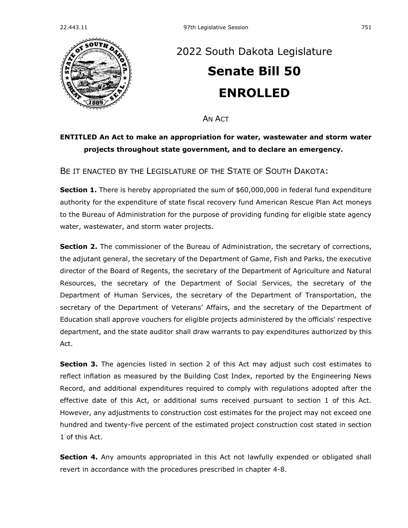

## [2022 South Dakota Legislature](https://sdlegislature.gov/Session/Bills/64) **[Senate Bill 50](https://sdlegislature.gov/Session/Bill/23014) ENROLLED**

AN ACT

## **ENTITLED An Act to make an appropriation for water, wastewater and storm water projects throughout state government, and to declare an emergency.**

BE IT ENACTED BY THE LEGISLATURE OF THE STATE OF SOUTH DAKOTA:

**Section 1.** There is hereby appropriated the sum of \$60,000,000 in federal fund expenditure authority for the expenditure of state fiscal recovery fund American Rescue Plan Act moneys to the Bureau of Administration for the purpose of providing funding for eligible state agency water, wastewater, and storm water projects.

**Section 2.** The commissioner of the Bureau of Administration, the secretary of corrections, the adjutant general, the secretary of the Department of Game, Fish and Parks, the executive director of the Board of Regents, the secretary of the Department of Agriculture and Natural Resources, the secretary of the Department of Social Services, the secretary of the Department of Human Services, the secretary of the Department of Transportation, the secretary of the Department of Veterans' Affairs, and the secretary of the Department of Education shall approve vouchers for eligible projects administered by the officials' respective department, and the state auditor shall draw warrants to pay expenditures authorized by this Act.

**Section 3.** The agencies listed in section 2 of this Act may adjust such cost estimates to reflect inflation as measured by the Building Cost Index, reported by the Engineering News Record, and additional expenditures required to comply with regulations adopted after the effective date of this Act, or additional sums received pursuant to section 1 of this Act. However, any adjustments to construction cost estimates for the project may not exceed one hundred and twenty-five percent of the estimated project construction cost stated in section 1 of this Act.

**Section 4.** Any amounts appropriated in this Act not lawfully expended or obligated shall revert in accordance with the procedures prescribed in chapter [4-8.](https://sdlegislature.gov/Statutes?Statute=4-8)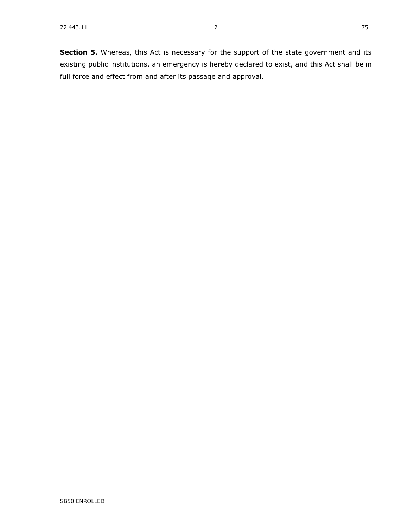**Section 5.** Whereas, this Act is necessary for the support of the state government and its existing public institutions, an emergency is hereby declared to exist, and this Act shall be in full force and effect from and after its passage and approval.